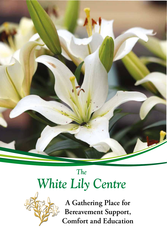

# *The White Lily Centre*



**A Gathering Place for Bereavement Support, Comfort and Education**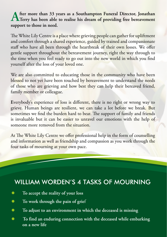# **After more than 33 years as a Southampton Funeral Director, Jonathan Terry has been able to realise his dream of providing free bereavement support to those in need.**

The White Lily Centre is a place where grieving people can gather for upliftment and comfort through a shared experience, guided by trained and compassionate staff who have all been through the heartbreak of their own losses. We offer gentle support throughout the bereavement journey, right the way through to the time when you feel ready to go out into the new world in which you find yourself after the loss of your loved one.

We are also committed to educating those in the community who have been blessed to not yet have been touched by bereavement to understand the needs of those who are grieving and how best they can help their bereaved friend, family member or colleague.

**E**verybody's experience of loss is different, there is no right or wrong way to grieve. Human beings are resilient, we can take a lot before we break. But sometimes we find the burden hard to bear. The support of family and friends is invaluable but it can be easier to unravel our emotions with the help of someone more removed from the situation.

At The White Lily Centre we offer professional help in the form of counselling and information as well as friendship and compassion as you work through the four tasks of mourning at your own pace.

### WILLIAM WORDEN'S 4 TASKS OF MOURNING

- **To accept the reality of your loss**
- **To work through the pain of grie**<sup>f</sup>
- **To adjust to an environment in which the deceased is missing**
- **To find an enduring connection with the deceased while embarking on a new life**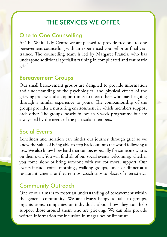### THE SERVICES WE OFFER

#### One to One Counselling

At The White Lily Centre we are pleased to provide free one to one bereavement counselling with an experienced counsellor or final year trainee. The counselling team is led by Margaret Francis, who has undergone additional specialist training in complicated and traumatic grief.

#### Bereavement Groups

Our small bereavement groups are designed to provide information and understanding of the psychological and physical effects of the grieving process and an opportunity to meet others who may be going through a similar experience to yours. The companionship of the groups provides a nurturing environment in which members support each other. The groups loosely follow an 8 week programme but are always led by the needs of the particular members.

#### Social Events

Loneliness and isolation can hinder our journey through grief so we know the value of being able to step back out into the world following a loss. We also know how hard that can be, especially for someone who is on their own. You will find all of our social events welcoming, whether you come alone or bring someone with you for moral support. Our events include coffee mornings, walking groups, lunch or dinner at a restaurant, cinema or theatre trips, coach trips to places of interest etc.

#### Community Outreach

One of our aims is to foster an understanding of bereavement within the general community. We are always happy to talk to groups, organisations, companies or individuals about how they can help support those around them who are grieving. We can also provide written information for inclusion in magazines or literature.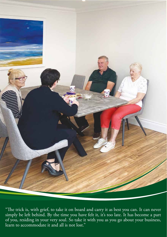

"The trick is, with grief, to take it on board and carry it as best you can. It can never simply be left behind. By the time you have felt it, it's too late. It has become a part of you, residing in your very soul. So take it with you as you go about your business, learn to accommodate it and all is not lost."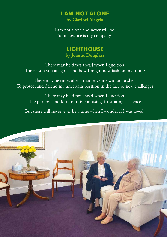# **I AM NOT ALONE**

**by Claribel Alegria**

I am not alone and never will be. Your absence is my company.

#### **LIGHTHOUSE by Joanne Douglass**

There may be times ahead when I question The reason you are gone and how I might now fashion my future

There may be times ahead that leave me without a shell To protect and defend my uncertain position in the face of new challenges

There may be times ahead when I question The purpose and form of this confusing, frustrating existence

But there will never, ever be a time when I wonder if I was loved.